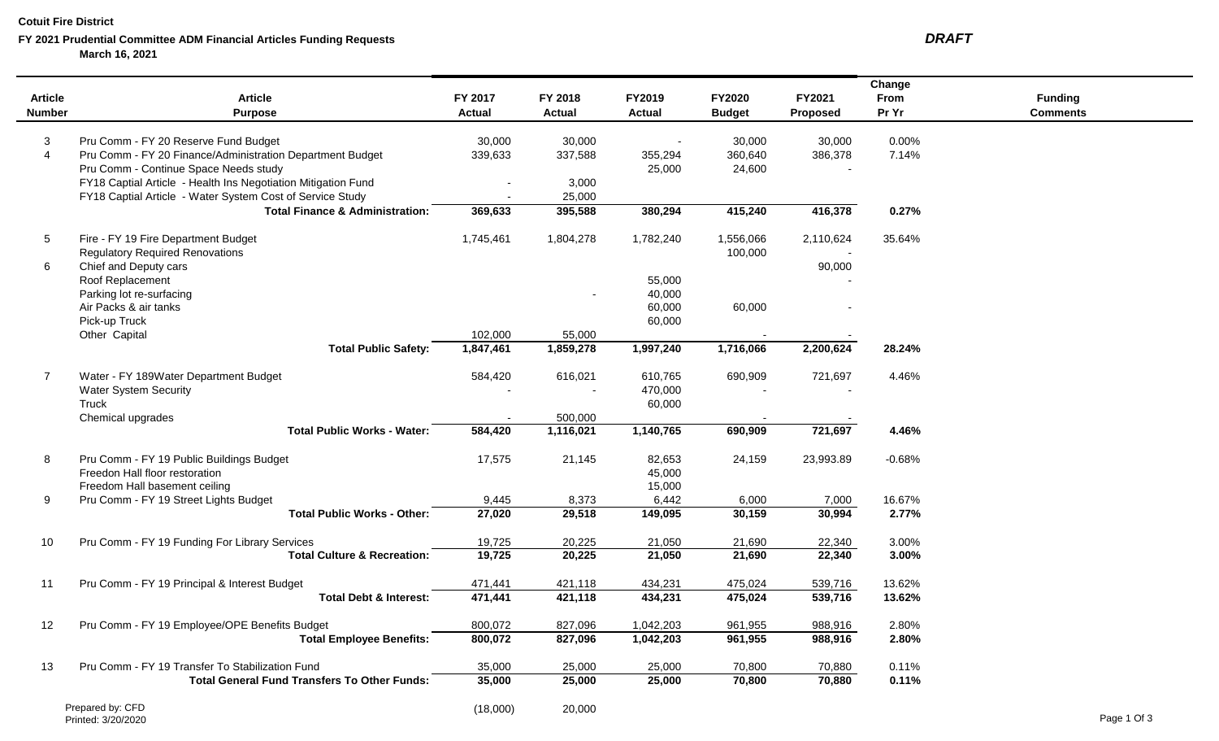### **Cotuit Fire District**

# **FY 2021 Prudential Committee ADM Financial Articles Funding Requests** *DRAFT* **March 16, 2021**

|                |                                                               |               |                |           |               |                 | Change   |                 |
|----------------|---------------------------------------------------------------|---------------|----------------|-----------|---------------|-----------------|----------|-----------------|
| <b>Article</b> | <b>Article</b>                                                | FY 2017       | FY 2018        | FY2019    | FY2020        | FY2021          | From     | <b>Funding</b>  |
| <b>Number</b>  | <b>Purpose</b>                                                | <b>Actual</b> | <b>Actual</b>  | Actual    | <b>Budget</b> | <b>Proposed</b> | Pr Yr    | <b>Comments</b> |
| 3              | Pru Comm - FY 20 Reserve Fund Budget                          | 30,000        | 30,000         |           | 30,000        | 30,000          | 0.00%    |                 |
| $\overline{4}$ | Pru Comm - FY 20 Finance/Administration Department Budget     | 339,633       | 337,588        | 355,294   | 360,640       | 386,378         | 7.14%    |                 |
|                | Pru Comm - Continue Space Needs study                         |               |                | 25,000    | 24,600        |                 |          |                 |
|                | FY18 Captial Article - Health Ins Negotiation Mitigation Fund |               | 3,000          |           |               |                 |          |                 |
|                | FY18 Captial Article - Water System Cost of Service Study     |               | 25,000         |           |               |                 |          |                 |
|                | <b>Total Finance &amp; Administration:</b>                    | 369,633       | 395,588        | 380,294   | 415,240       | 416,378         | 0.27%    |                 |
| 5              | Fire - FY 19 Fire Department Budget                           | 1,745,461     | 1,804,278      | 1,782,240 | 1,556,066     | 2,110,624       | 35.64%   |                 |
|                | <b>Regulatory Required Renovations</b>                        |               |                |           | 100,000       |                 |          |                 |
| 6              | Chief and Deputy cars                                         |               |                |           |               | 90,000          |          |                 |
|                | Roof Replacement                                              |               |                | 55,000    |               |                 |          |                 |
|                | Parking lot re-surfacing                                      |               |                | 40,000    |               |                 |          |                 |
|                | Air Packs & air tanks                                         |               |                | 60,000    | 60,000        |                 |          |                 |
|                | Pick-up Truck                                                 |               |                | 60,000    |               |                 |          |                 |
|                | Other Capital                                                 | 102,000       | 55,000         |           |               |                 |          |                 |
|                | <b>Total Public Safety:</b>                                   | 1,847,461     | 1,859,278      | 1,997,240 | 1,716,066     | 2,200,624       | 28.24%   |                 |
| 7              | Water - FY 189Water Department Budget                         | 584,420       | 616,021        | 610,765   | 690,909       | 721,697         | 4.46%    |                 |
|                | <b>Water System Security</b>                                  |               | $\blacksquare$ | 470,000   |               |                 |          |                 |
|                | Truck                                                         |               |                | 60,000    |               |                 |          |                 |
|                | Chemical upgrades                                             |               | 500,000        |           |               |                 |          |                 |
|                | <b>Total Public Works - Water:</b>                            | 584,420       | 1,116,021      | 1,140,765 | 690,909       | 721,697         | 4.46%    |                 |
| 8              | Pru Comm - FY 19 Public Buildings Budget                      | 17,575        | 21,145         | 82,653    | 24,159        | 23,993.89       | $-0.68%$ |                 |
|                | Freedon Hall floor restoration                                |               |                | 45,000    |               |                 |          |                 |
|                | Freedom Hall basement ceiling                                 |               |                | 15,000    |               |                 |          |                 |
| 9              | Pru Comm - FY 19 Street Lights Budget                         | 9,445         | 8,373          | 6,442     | 6,000         | 7,000           | 16.67%   |                 |
|                | <b>Total Public Works - Other:</b>                            | 27,020        | 29,518         | 149,095   | 30,159        | 30,994          | 2.77%    |                 |
| 10             | Pru Comm - FY 19 Funding For Library Services                 | 19,725        | 20,225         | 21,050    | 21,690        | 22,340          | 3.00%    |                 |
|                | <b>Total Culture &amp; Recreation:</b>                        | 19,725        | 20,225         | 21,050    | 21,690        | 22,340          | 3.00%    |                 |
| 11             | Pru Comm - FY 19 Principal & Interest Budget                  | 471,441       | 421,118        | 434,231   | 475,024       | 539,716         | 13.62%   |                 |
|                | <b>Total Debt &amp; Interest:</b>                             | 471,441       | 421,118        | 434,231   | 475,024       | 539,716         | 13.62%   |                 |
| 12             | Pru Comm - FY 19 Employee/OPE Benefits Budget                 | 800,072       | 827,096        | 1,042,203 | 961,955       | 988,916         | 2.80%    |                 |
|                | <b>Total Employee Benefits:</b>                               | 800,072       | 827,096        | 1,042,203 | 961,955       | 988,916         | 2.80%    |                 |
| 13             | Pru Comm - FY 19 Transfer To Stabilization Fund               | 35,000        | 25,000         | 25,000    | 70,800        | 70,880          | 0.11%    |                 |
|                | <b>Total General Fund Transfers To Other Funds:</b>           | 35,000        | 25,000         | 25,000    | 70,800        | 70,880          | 0.11%    |                 |
|                | Prepared by: CFD                                              | (18,000)      | 20,000         |           |               |                 |          |                 |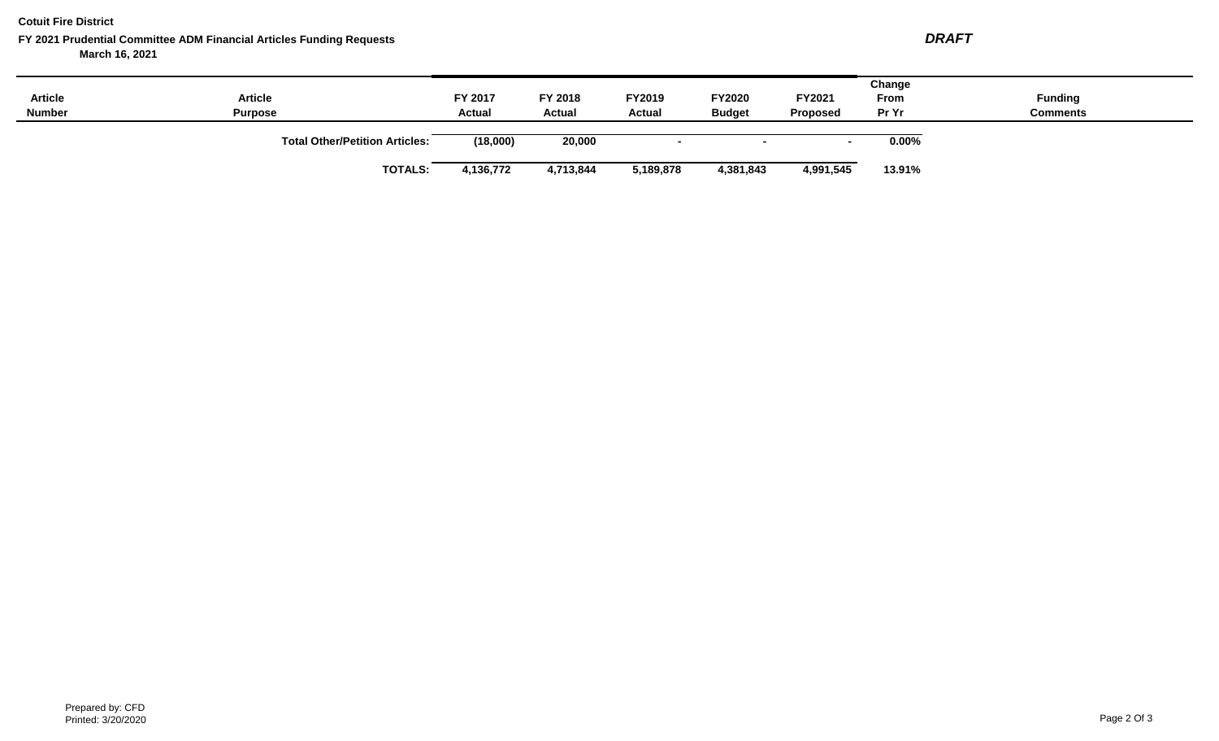**Cotuit Fire District**

# **FY 2021 Prudential Committee ADM Financial Articles Funding Requests** *DRAFT* **March 16, 2021**

| <b>Article</b><br><b>Number</b> | <b>Article</b><br><b>Purpose</b>      | FY 2017<br><b>Actual</b> | FY 2018<br><b>Actual</b> | <b>FY2019</b><br><b>Actual</b> | FY2020<br><b>Budget</b> | FY2021<br><b>Proposed</b> | Change<br><b>From</b><br>Pr Yr | <b>Funding</b><br><b>Comments</b> |
|---------------------------------|---------------------------------------|--------------------------|--------------------------|--------------------------------|-------------------------|---------------------------|--------------------------------|-----------------------------------|
|                                 | <b>Total Other/Petition Articles:</b> | (18,000)                 | 20,000                   |                                |                         |                           | $0.00\%$                       |                                   |
|                                 | <b>TOTALS:</b>                        | 1,136,772                | 4,713,844                | 5,189,878                      | 4,381,843               | 4,991,545                 | 13.91%                         |                                   |